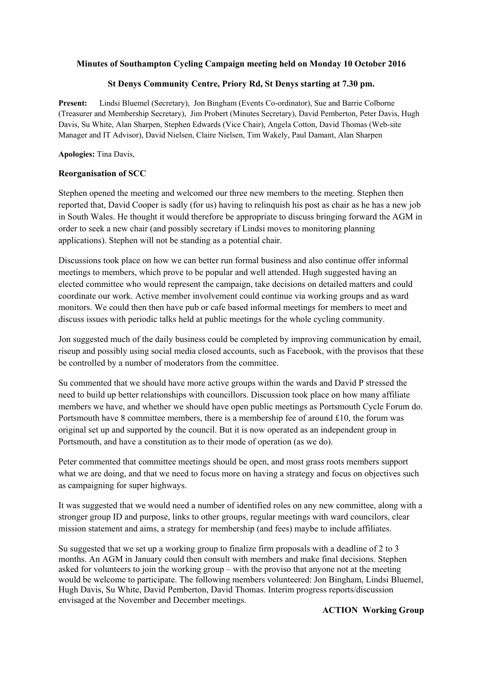# **Minutes of Southampton Cycling Campaign meeting held on Monday 10 October 2016**

## **St Denys Community Centre, Priory Rd, St Denys starting at 7.30 pm.**

**Present:** Lindsi Bluemel (Secretary), Jon Bingham (Events Co-ordinator), Sue and Barrie Colborne (Treasurer and Membership Secretary), Jim Probert (Minutes Secretary), David Pemberton, Peter Davis, Hugh Davis, Su White, Alan Sharpen, Stephen Edwards (Vice Chair), Angela Cotton, David Thomas (Web-site Manager and IT Advisor), David Nielsen, Claire Nielsen, Tim Wakely, Paul Damant, Alan Sharpen

**Apologies:** Tina Davis,

## **Reorganisation of SCC**

Stephen opened the meeting and welcomed our three new members to the meeting. Stephen then reported that, David Cooper is sadly (for us) having to relinquish his post as chair as he has a new job in South Wales. He thought it would therefore be appropriate to discuss bringing forward the AGM in order to seek a new chair (and possibly secretary if Lindsi moves to monitoring planning applications). Stephen will not be standing as a potential chair.

Discussions took place on how we can better run formal business and also continue offer informal meetings to members, which prove to be popular and well attended. Hugh suggested having an elected committee who would represent the campaign, take decisions on detailed matters and could coordinate our work. Active member involvement could continue via working groups and as ward monitors. We could then then have pub or cafe based informal meetings for members to meet and discuss issues with periodic talks held at public meetings for the whole cycling community.

Jon suggested much of the daily business could be completed by improving communication by email, riseup and possibly using social media closed accounts, such as Facebook, with the provisos that these be controlled by a number of moderators from the committee.

Su commented that we should have more active groups within the wards and David P stressed the need to build up better relationships with councillors. Discussion took place on how many affiliate members we have, and whether we should have open public meetings as Portsmouth Cycle Forum do. Portsmouth have 8 committee members, there is a membership fee of around £10, the forum was original set up and supported by the council. But it is now operated as an independent group in Portsmouth, and have a constitution as to their mode of operation (as we do).

Peter commented that committee meetings should be open, and most grass roots members support what we are doing, and that we need to focus more on having a strategy and focus on objectives such as campaigning for super highways.

It was suggested that we would need a number of identified roles on any new committee, along with a stronger group ID and purpose, links to other groups, regular meetings with ward councilors, clear mission statement and aims, a strategy for membership (and fees) maybe to include affiliates.

Su suggested that we set up a working group to finalize firm proposals with a deadline of 2 to 3 months. An AGM in January could then consult with members and make final decisions. Stephen asked for volunteers to join the working group – with the proviso that anyone not at the meeting would be welcome to participate. The following members volunteered: Jon Bingham, Lindsi Bluemel, Hugh Davis, Su White, David Pemberton, David Thomas. Interim progress reports/discussion envisaged at the November and December meetings.

### **ACTION Working Group**